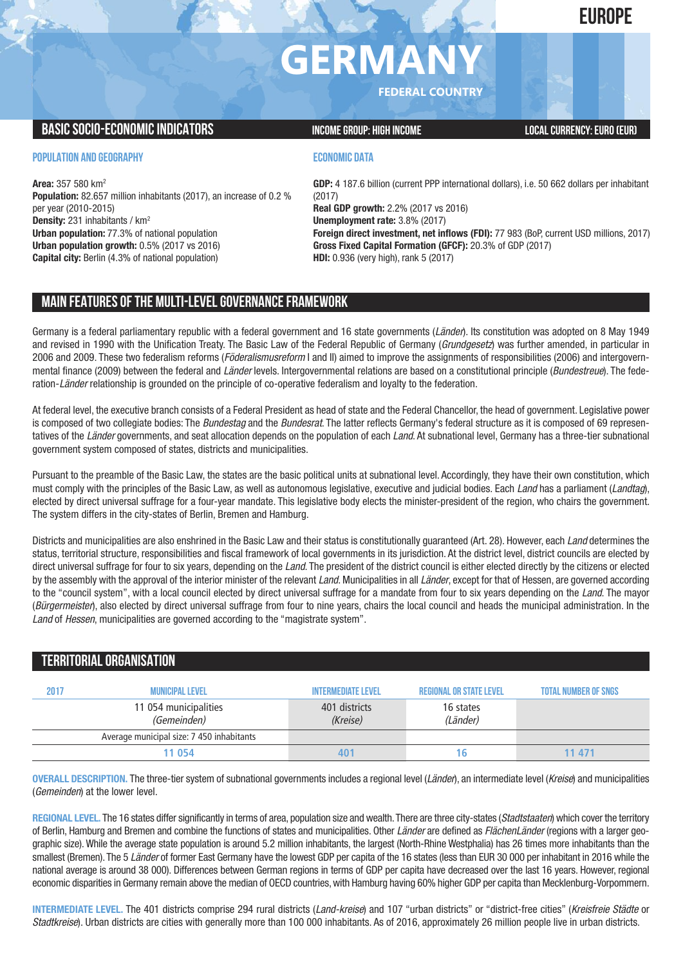# **EUROPE**

# **GERMANY**

**FEDERAL COUNTRY**

### **BASIC SOCIO-ECONOMIC INDICATORS INCOME GROUP:** HIGH INCOME GROUP: HIGH INCOME

### **POPULATION AND GEOGRAPHY**

**Area:** 357 580 km2 **Population:** 82.657 million inhabitants (2017), an increase of 0.2 % per year (2010-2015) **Density:** 231 inhabitants / km2 **Urban population:** 77.3% of national population **Urban population growth:** 0.5% (2017 vs 2016) **Capital city:** Berlin (4.3% of national population)

### **ECONOMIC DATA**

**GDP:** 4 187.6 billion (current PPP international dollars), i.e. 50 662 dollars per inhabitant (2017) **Real GDP growth:** 2.2% (2017 vs 2016) **Unemployment rate:** 3.8% (2017) **Foreign direct investment, net inflows (FDI):** 77 983 (BoP, current USD millions, 2017) **Gross Fixed Capital Formation (GFCF):** 20.3% of GDP (2017) **HDI:** 0.936 (very high), rank 5 (2017)

# **MAIN FEATURESOFTHE MULTI-LEVELGOVERNANCEFRAMEWORK**

Germany is a federal parliamentary republic with a federal government and 16 state governments (*Länder*). Its constitution was adopted on 8 May 1949 and revised in 1990 with the Unification Treaty. The Basic Law of the Federal Republic of Germany (*Grundgesetz*) was further amended, in particular in 2006 and 2009. These two federalism reforms (*Föderalismusreform* I and II) aimed to improve the assignments of responsibilities (2006) and intergovernmental finance (2009) between the federal and *Länder* levels. Intergovernmental relations are based on a constitutional principle (*Bundestreue*). The federation-*Länder* relationship is grounded on the principle of co-operative federalism and loyalty to the federation.

At federal level, the executive branch consists of a Federal President as head of state and the Federal Chancellor, the head of government. Legislative power is composed of two collegiate bodies: The *Bundestag* and the *Bundesrat*. The latter reflects Germany's federal structure as it is composed of 69 representatives of the *Länder* governments, and seat allocation depends on the population of each *Land*. At subnational level, Germany has a three-tier subnational government system composed of states, districts and municipalities.

Pursuant to the preamble of the Basic Law, the states are the basic political units at subnational level. Accordingly, they have their own constitution, which must comply with the principles of the Basic Law, as well as autonomous legislative, executive and judicial bodies. Each *Land* has a parliament (*Landtag*), elected by direct universal suffrage for a four-year mandate. This legislative body elects the minister-president of the region, who chairs the government. The system differs in the city-states of Berlin, Bremen and Hamburg.

Districts and municipalities are also enshrined in the Basic Law and their status is constitutionally guaranteed (Art. 28). However, each *Land* determines the status, territorial structure, responsibilities and fiscal framework of local governments in its jurisdiction. At the district level, district councils are elected by direct universal suffrage for four to six years, depending on the *Land*. The president of the district council is either elected directly by the citizens or elected by the assembly with the approval of the interior minister of the relevant *Land*. Municipalities in all *Länder*, except for that of Hessen, are governed according to the "council system", with a local council elected by direct universal suffrage for a mandate from four to six years depending on the *Land*. The mayor (*Bürgermeister*), also elected by direct universal suffrage from four to nine years, chairs the local council and heads the municipal administration. In the *Land* of *Hessen*, municipalities are governed according to the "magistrate system".

## **TERRITORIALORGANISATION**

| 2017 | <b>MUNICIPAL LEVEL</b>                    | <b>INTERMEDIATE LEVEL</b> | <b>REGIONAL OR STATE LEVEL</b> | <b>TOTAL NUMBER OF SNGS</b> |
|------|-------------------------------------------|---------------------------|--------------------------------|-----------------------------|
|      | 11 054 municipalities<br>(Gemeinden)      | 401 districts<br>(Kreise) | 16 states<br>(Länder)          |                             |
|      | Average municipal size: 7 450 inhabitants |                           |                                |                             |
|      | 11 054                                    | 40′                       | l b                            | 11 471                      |

**OVERALL DESCRIPTION.** The three-tier system of subnational governments includes a regional level (*Länder*), an intermediate level (*Kreise*) and municipalities (*Gemeinden*) at the lower level.

**REGIONAL LEVEL.** The 16 states differ significantly in terms of area, population size and wealth.There are three city-states (*Stadtstaaten*) which cover the territory of Berlin, Hamburg and Bremen and combine the functions of states and municipalities. Other *Länder* are defined as *FlächenLänder* (regions with a larger geographic size). While the average state population is around 5.2 million inhabitants, the largest (North-Rhine Westphalia) has 26 times more inhabitants than the smallest (Bremen). The 5 *Länder* of former East Germany have the lowest GDP per capita of the 16 states (less than EUR 30 000 per inhabitant in 2016 while the national average is around 38 000). Differences between German regions in terms of GDP per capita have decreased over the last 16 years. However, regional economic disparities in Germany remain above the median of OECD countries, with Hamburg having 60% higher GDP per capita than Mecklenburg-Vorpommern.

**INTERMEDIATE LEVEL.** The 401 districts comprise 294 rural districts (*Land-kreise*) and 107 "urban districts" or "district-free cities" (*Kreisfreie Städte* or *Stadtkreise*). Urban districts are cities with generally more than 100 000 inhabitants. As of 2016, approximately 26 million people live in urban districts.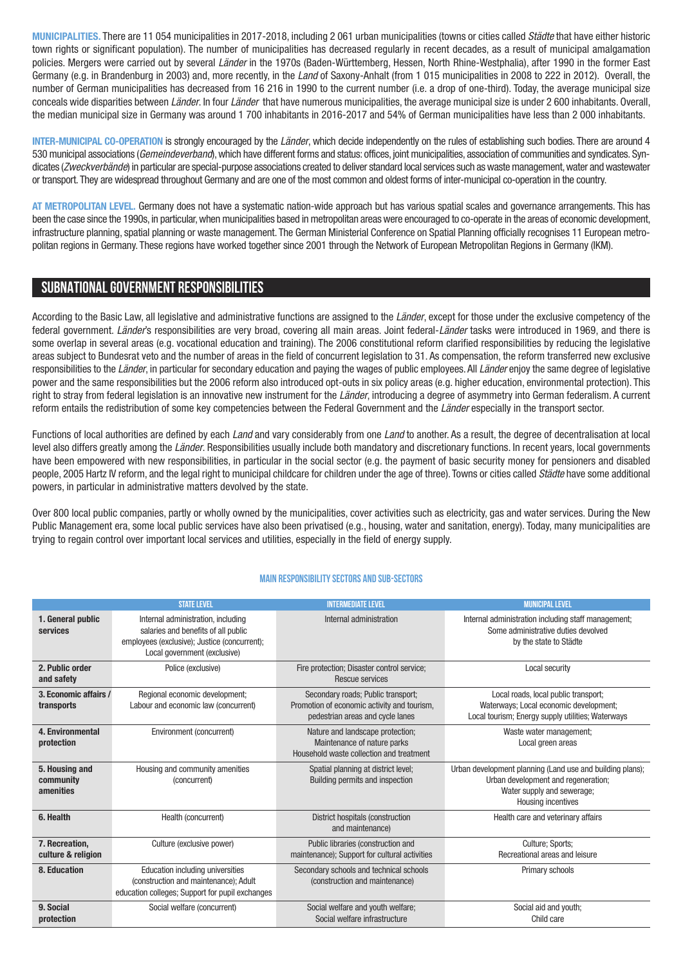**MUNICIPALITIES.** There are 11 054 municipalities in 2017-2018, including 2 061 urban municipalities (towns or cities called *Städte* that have either historic town rights or significant population). The number of municipalities has decreased regularly in recent decades, as a result of municipal amalgamation policies. Mergers were carried out by several *Länder* in the 1970s (Baden-Württemberg, Hessen, North Rhine-Westphalia), after 1990 in the former East Germany (e.g. in Brandenburg in 2003) and, more recently, in the *Land* of Saxony-Anhalt (from 1 015 municipalities in 2008 to 222 in 2012). Overall, the number of German municipalities has decreased from 16 216 in 1990 to the current number (i.e. a drop of one-third). Today, the average municipal size conceals wide disparities between *Länder*. In four *Länder* that have numerous municipalities, the average municipal size is under 2 600 inhabitants. Overall, the median municipal size in Germany was around 1 700 inhabitants in 2016-2017 and 54% of German municipalities have less than 2 000 inhabitants.

**INTER-MUNICIPAL CO-OPERATION** is strongly encouraged by the *Länder*, which decide independently on the rules of establishing such bodies. There are around 4 530 municipal associations (*Gemeindeverband*),which have different forms and status: offices, joint municipalities, association of communities and syndicates. Syndicates (*Zweckverbände*) in particular are special-purpose associations created to deliver standard local services such aswaste management,water andwastewater or transport. They are widespread throughout Germany and are one of the most common and oldest forms of inter-municipal co-operation in the country.

**AT METROPOLITAN LEVEL.** Germany does not have a systematic nation-wide approach but has various spatial scales and governance arrangements. This has been the case since the 1990s, in particular, when municipalities based in metropolitan areas were encouraged to co-operate in the areas of economic development, infrastructure planning, spatial planning or waste management. The German Ministerial Conference on Spatial Planning officially recognises 11 European metropolitan regions in Germany. These regions have worked together since 2001 through the Network of European Metropolitan Regions in Germany (IKM).

### **SUBNATIONALGOVERNMENT RESPONSIBILITIES**

According to the Basic Law, all legislative and administrative functions are assigned to the *Länder*, except for those under the exclusive competency of the federal government. *Länder*'s responsibilities are very broad, covering all main areas. Joint federal-*Länder* tasks were introduced in 1969, and there is some overlap in several areas (e.g. vocational education and training). The 2006 constitutional reform clarified responsibilities by reducing the legislative areas subject to Bundesrat veto and the number of areas in the field of concurrent legislation to 31. As compensation, the reform transferred new exclusive responsibilities to the *Länder*, in particular for secondary education and paying the wages of public employees.All *Länder* enjoy the same degree of legislative power and the same responsibilities but the 2006 reform also introduced opt-outs in six policy areas (e.g. higher education, environmental protection). This right to stray from federal legislation is an innovative new instrument for the *Länder*, introducing a degree of asymmetry into German federalism. A current reform entails the redistribution of some key competencies between the Federal Government and the *Länder* especially in the transport sector.

Functions of local authorities are defined by each *Land* and vary considerably from one *Land* to another. As a result, the degree of decentralisation at local level also differs greatly among the *Länder*. Responsibilities usually include both mandatory and discretionary functions. In recent years, local governments have been empowered with new responsibilities, in particular in the social sector (e.g. the payment of basic security money for pensioners and disabled people, 2005 Hartz IV reform, and the legal right to municipal childcare for children under the age of three). Towns or cities called *Städte* have some additional powers, in particular in administrative matters devolved by the state.

Over 800 local public companies, partly or wholly owned by the municipalities, cover activities such as electricity, gas and water services. During the New Public Management era, some local public services have also been privatised (e.g., housing, water and sanitation, energy). Today, many municipalities are trying to regain control over important local services and utilities, especially in the field of energy supply.

#### **Main responsibilitysectors and sub-sectors**

|                                          | <b>STATE LEVEL</b>                                                                                                                                        | <b>INTERMEDIATE LEVEL</b>                                                                                             | <b>MUNICIPAL LEVEL</b>                                                                                                                               |
|------------------------------------------|-----------------------------------------------------------------------------------------------------------------------------------------------------------|-----------------------------------------------------------------------------------------------------------------------|------------------------------------------------------------------------------------------------------------------------------------------------------|
| 1. General public<br>services            | Internal administration, including<br>salaries and benefits of all public<br>employees (exclusive); Justice (concurrent);<br>Local government (exclusive) | Internal administration                                                                                               | Internal administration including staff management;<br>Some administrative duties devolved<br>by the state to Städte                                 |
| 2. Public order<br>and safety            | Police (exclusive)                                                                                                                                        | Fire protection; Disaster control service;<br>Rescue services                                                         | Local security                                                                                                                                       |
| 3. Economic affairs /<br>transports      | Regional economic development;<br>Labour and economic law (concurrent)                                                                                    | Secondary roads; Public transport;<br>Promotion of economic activity and tourism,<br>pedestrian areas and cycle lanes | Local roads, local public transport;<br>Waterways; Local economic development;<br>Local tourism; Energy supply utilities; Waterways                  |
| 4. Environmental<br>protection           | Environment (concurrent)                                                                                                                                  | Nature and landscape protection;<br>Maintenance of nature parks<br>Household waste collection and treatment           | Waste water management;<br>Local green areas                                                                                                         |
| 5. Housing and<br>community<br>amenities | Housing and community amenities<br>(concurrent)                                                                                                           | Spatial planning at district level;<br>Building permits and inspection                                                | Urban development planning (Land use and building plans);<br>Urban development and regeneration;<br>Water supply and sewerage;<br>Housing incentives |
| 6. Health                                | Health (concurrent)                                                                                                                                       | District hospitals (construction<br>and maintenance)                                                                  | Health care and veterinary affairs                                                                                                                   |
| 7. Recreation,<br>culture & religion     | Culture (exclusive power)                                                                                                                                 | Public libraries (construction and<br>maintenance); Support for cultural activities                                   | Culture; Sports;<br>Recreational areas and leisure                                                                                                   |
| 8. Education                             | Education including universities<br>(construction and maintenance); Adult<br>education colleges; Support for pupil exchanges                              | Secondary schools and technical schools<br>(construction and maintenance)                                             | Primary schools                                                                                                                                      |
| 9. Social<br>protection                  | Social welfare (concurrent)                                                                                                                               | Social welfare and youth welfare;<br>Social welfare infrastructure                                                    | Social aid and youth;<br>Child care                                                                                                                  |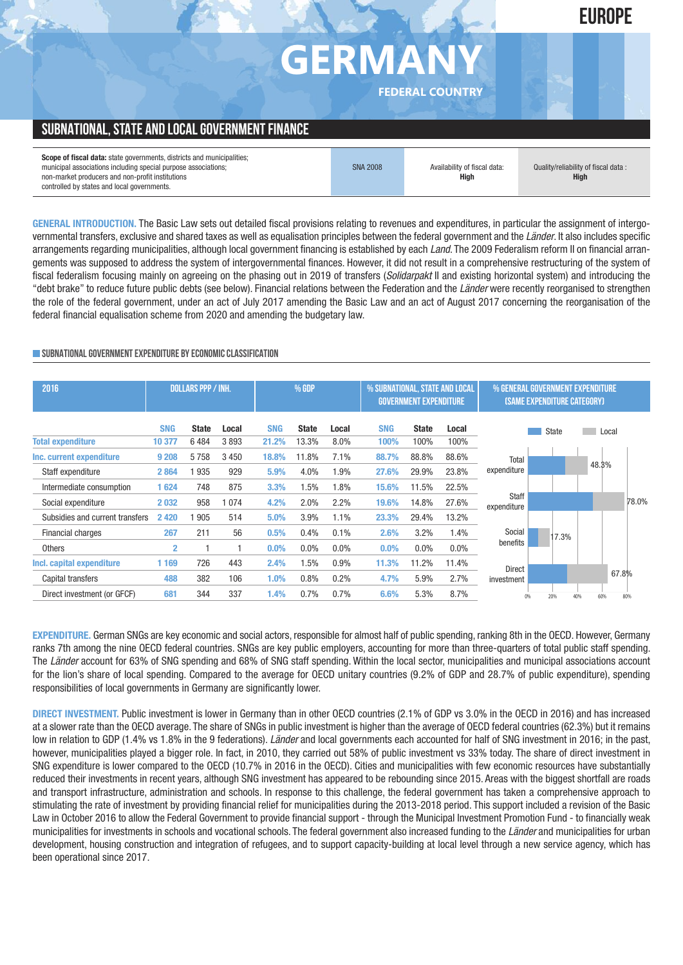# **GERMA**

**FEDERAL COUNTRY**

**EUROPE**

# **SUBNATIONAL, STATE AND LOCAL GOVERNMENT FINANCE**

| <b>Scope of fiscal data:</b> state governments, districts and municipalities;<br>municipal associations including special purpose associations; | <b>SNA 2008</b> | Availability of fiscal data: | Quality/reliability of fiscal data: |
|-------------------------------------------------------------------------------------------------------------------------------------------------|-----------------|------------------------------|-------------------------------------|
| non-market producers and non-profit institutions                                                                                                |                 | Hiah                         | <b>High</b>                         |
| controlled by states and local governments.                                                                                                     |                 |                              |                                     |

**GENERAL INTRODUCTION.** The Basic Law sets out detailed fiscal provisions relating to revenues and expenditures, in particular the assignment of intergovernmental transfers, exclusive and shared taxes as well as equalisation principles between the federal government and the *Länder*. It also includes specific arrangements regarding municipalities, although local government financing is established by each *Land*. The 2009 Federalism reform II on financial arrangements was supposed to address the system of intergovernmental finances. However, it did not result in a comprehensive restructuring of the system of fiscal federalism focusing mainly on agreeing on the phasing out in 2019 of transfers (*Solidarpakt* II and existing horizontal system) and introducing the "debt brake" to reduce future public debts (see below). Financial relations between the Federation and the *Länder* were recently reorganised to strengthen the role of the federal government, under an act of July 2017 amending the Basic Law and an act of August 2017 concerning the reorganisation of the federal financial equalisation scheme from 2020 and amending the budgetary law.

#### **SUBNATIONALGOVERNMENTEXPENDITURE BYECONOMICCLASSIFICATION**

| 2016                            |                | <b>DOLLARS PPP / INH.</b> |         | % GDP      |              |         | % SUBNATIONAL, STATE AND LOCAL<br><b>GOVERNMENT EXPENDITURE</b> |              |         | % GENERAL GOVERNMENT EXPENDITURE<br>(SAME EXPENDITURE CATEGORY) |       |     |       |       |
|---------------------------------|----------------|---------------------------|---------|------------|--------------|---------|-----------------------------------------------------------------|--------------|---------|-----------------------------------------------------------------|-------|-----|-------|-------|
|                                 | <b>SNG</b>     | <b>State</b>              | Local   | <b>SNG</b> | <b>State</b> | Local   | <b>SNG</b>                                                      | <b>State</b> | Local   |                                                                 | State |     | Local |       |
| <b>Total expenditure</b>        | 10 377         | 6484                      | 3893    | 21.2%      | 13.3%        | 8.0%    | 100%                                                            | 100%         | 100%    |                                                                 |       |     |       |       |
| Inc. current expenditure        | 9 2 0 8        | 5758                      | 3 4 5 0 | 18.8%      | 11.8%        | 7.1%    | 88.7%                                                           | 88.8%        | 88.6%   | Total                                                           |       |     |       |       |
| Staff expenditure               | 2864           | 935                       | 929     | 5.9%       | 4.0%         | 1.9%    | 27.6%                                                           | 29.9%        | 23.8%   | expenditure                                                     |       |     | 48.3% |       |
| Intermediate consumption        | 1624           | 748                       | 875     | 3.3%       | 1.5%         | 1.8%    | 15.6%                                                           | 11.5%        | 22.5%   |                                                                 |       |     |       |       |
| Social expenditure              | 2032           | 958                       | 1074    | 4.2%       | 2.0%         | 2.2%    | 19.6%                                                           | 14.8%        | 27.6%   | Staff<br>expenditure                                            |       |     |       | 78.0% |
| Subsidies and current transfers | 2 4 2 0        | 905                       | 514     | 5.0%       | 3.9%         | 1.1%    | 23.3%                                                           | 29.4%        | 13.2%   |                                                                 |       |     |       |       |
| <b>Financial charges</b>        | 267            | 211                       | 56      | 0.5%       | 0.4%         | 0.1%    | 2.6%                                                            | 3.2%         | 1.4%    | Social                                                          | 17.3% |     |       |       |
| <b>Others</b>                   | $\overline{2}$ |                           |         | $0.0\%$    | 0.0%         | $0.0\%$ | 0.0%                                                            | $0.0\%$      | $0.0\%$ | benefits                                                        |       |     |       |       |
| Incl. capital expenditure       | 1 1 6 9        | 726                       | 443     | 2.4%       | 1.5%         | 0.9%    | 11.3%                                                           | 11.2%        | 11.4%   |                                                                 |       |     |       |       |
| Capital transfers               | 488            | 382                       | 106     | 1.0%       | 0.8%         | 0.2%    | 4.7%                                                            | 5.9%         | 2.7%    | <b>Direct</b><br>investment                                     |       |     |       | 67.8% |
| Direct investment (or GFCF)     | 681            | 344                       | 337     | 1.4%       | 0.7%         | 0.7%    | 6.6%                                                            | 5.3%         | 8.7%    | 0%                                                              | 20%   | 40% | 60%   | 80%   |

**EXPENDITURE.** German SNGs are key economic and social actors, responsible for almost half of public spending, ranking 8th in the OECD. However, Germany ranks 7th among the nine OECD federal countries. SNGs are key public employers, accounting for more than three-quarters of total public staff spending. The *Länder* account for 63% of SNG spending and 68% of SNG staff spending. Within the local sector, municipalities and municipal associations account for the lion's share of local spending. Compared to the average for OECD unitary countries (9.2% of GDP and 28.7% of public expenditure), spending responsibilities of local governments in Germany are significantly lower.

**DIRECT INVESTMENT.** Public investment is lower in Germany than in other OECD countries (2.1% of GDP vs 3.0% in the OECD in 2016) and has increased at a slower rate than the OECD average. The share of SNGs in public investment is higher than the average of OECD federal countries (62.3%) but it remains low in relation to GDP (1.4% vs 1.8% in the 9 federations). *Länder* and local governments each accounted for half of SNG investment in 2016; in the past, however, municipalities played a bigger role. In fact, in 2010, they carried out 58% of public investment vs 33% today. The share of direct investment in SNG expenditure is lower compared to the OECD (10.7% in 2016 in the OECD). Cities and municipalities with few economic resources have substantially reduced their investments in recent years, although SNG investment has appeared to be rebounding since 2015. Areas with the biggest shortfall are roads and transport infrastructure, administration and schools. In response to this challenge, the federal government has taken a comprehensive approach to stimulating the rate of investment by providing financial relief for municipalities during the 2013-2018 period. This support included a revision of the Basic Law in October 2016 to allow the Federal Government to provide financial support - through the Municipal Investment Promotion Fund - to financially weak municipalities for investments in schools and vocational schools. The federal government also increased funding to the *Länder* and municipalities for urban development, housing construction and integration of refugees, and to support capacity-building at local level through a new service agency, which has been operational since 2017.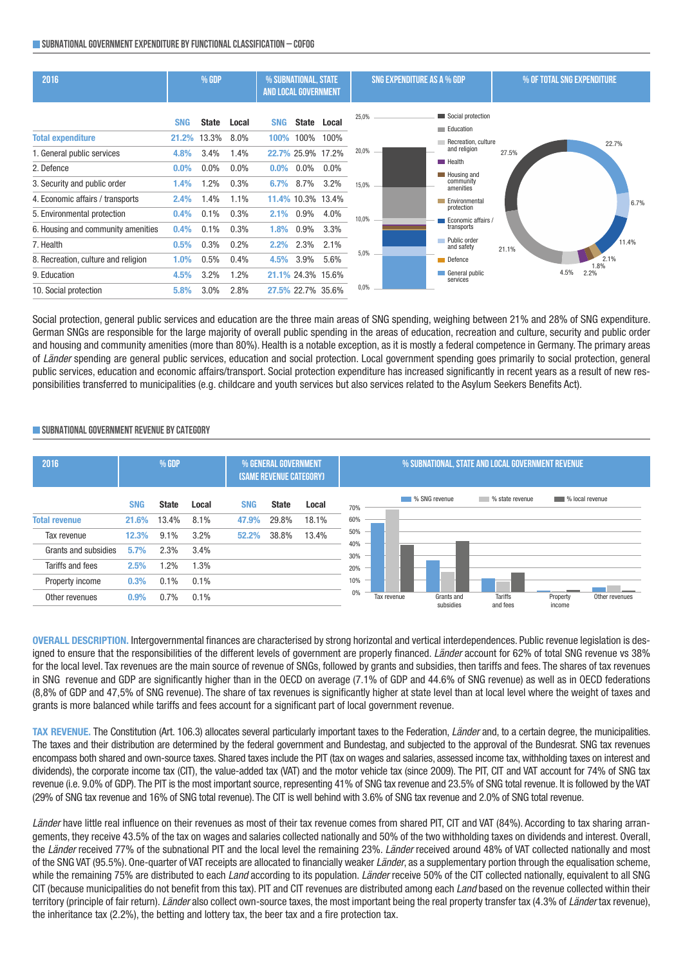#### **SUBNATIONALGOVERNMENTEXPENDITURE BYFUNCTIONALCLASSIFICATION – COFOG**



Social protection, general public services and education are the three main areas of SNG spending, weighing between 21% and 28% of SNG expenditure. German SNGs are responsible for the large majority of overall public spending in the areas of education, recreation and culture, security and public order and housing and community amenities (more than 80%). Health is a notable exception, as it is mostly a federal competence in Germany. The primary areas of *Länder* spending are general public services, education and social protection. Local government spending goes primarily to social protection, general public services, education and economic affairs/transport. Social protection expenditure has increased significantly in recent years as a result of new responsibilities transferred to municipalities (e.g. childcare and youth services but also services related to the Asylum Seekers Benefits Act).

#### **SUBNATIONALGOVERNMENT REVENUE BYCATEGORY**



**OVERALL DESCRIPTION.** Intergovernmental finances are characterised by strong horizontal and vertical interdependences. Public revenue legislation is designed to ensure that the responsibilities of the different levels of government are properly financed. *Länder* account for 62% of total SNG revenue vs 38% for the local level. Tax revenues are the main source of revenue of SNGs, followed by grants and subsidies, then tariffs and fees. The shares of tax revenues in SNG revenue and GDP are significantly higher than in the OECD on average (7.1% of GDP and 44.6% of SNG revenue) as well as in OECD federations (8,8% of GDP and 47,5% of SNG revenue). The share of tax revenues is significantly higher at state level than at local level where the weight of taxes and grants is more balanced while tariffs and fees account for a significant part of local government revenue.

**TAX REVENUE.** The Constitution (Art. 106.3) allocates several particularly important taxes to the Federation, *Länder* and, to a certain degree, the municipalities. The taxes and their distribution are determined by the federal government and Bundestag, and subjected to the approval of the Bundesrat. SNG tax revenues encompass both shared and own-source taxes. Shared taxes include the PIT (tax on wages and salaries, assessed income tax, withholding taxes on interest and dividends), the corporate income tax (CIT), the value-added tax (VAT) and the motor vehicle tax (since 2009). The PIT, CIT and VAT account for 74% of SNG tax revenue (i.e. 9.0% of GDP). The PIT is the most important source, representing 41% of SNG tax revenue and 23.5% of SNG total revenue. It is followed by the VAT (29% of SNG tax revenue and 16% of SNG total revenue). The CIT is well behind with 3.6% of SNG tax revenue and 2.0% of SNG total revenue.

*Länder* have little real influence on their revenues as most of their tax revenue comes from shared PIT, CIT and VAT (84%). According to tax sharing arrangements, they receive 43.5% of the tax on wages and salaries collected nationally and 50% of the two withholding taxes on dividends and interest. Overall, the *Länder* received 77% of the subnational PIT and the local level the remaining 23%. *Länder* received around 48% of VAT collected nationally and most of the SNG VAT (95.5%). One-quarter of VAT receipts are allocated to financially weaker *Länder*, as a supplementary portion through the equalisation scheme, while the remaining 75% are distributed to each *Land* according to its population. *Länder* receive 50% of the CIT collected nationally, equivalent to all SNG CIT (because municipalities do not benefit from this tax). PIT and CIT revenues are distributed among each *Land* based on the revenue collected within their territory (principle of fair return). *Länder* also collect own-source taxes, the most important being the real property transfer tax (4.3% of *Länder* tax revenue), the inheritance tax (2.2%), the betting and lottery tax, the beer tax and a fire protection tax.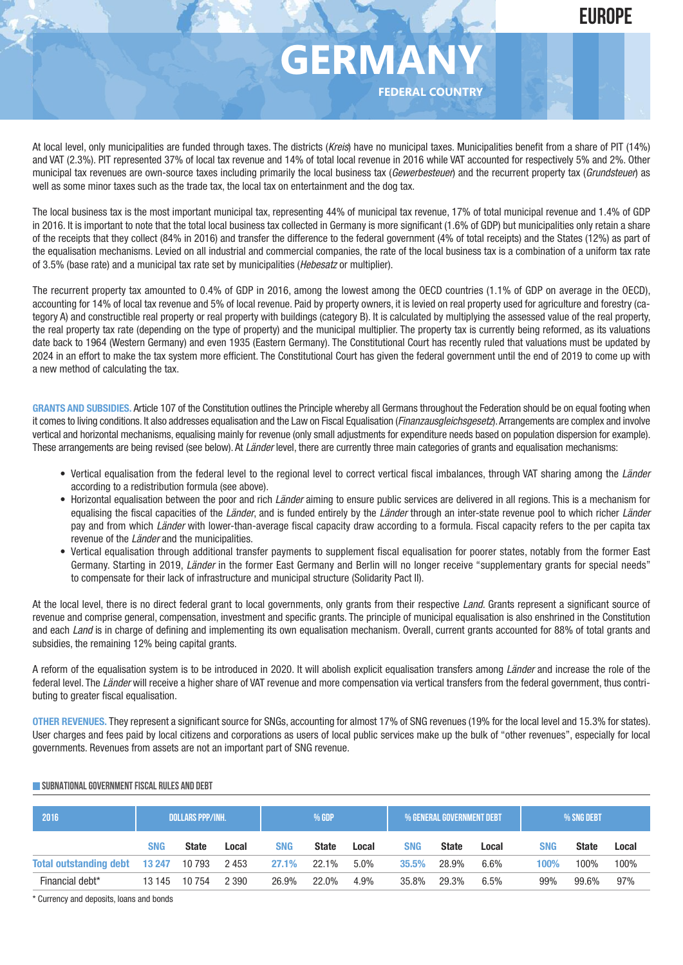# **GERMA**

**FEDERAL COUNTRY**

At local level, only municipalities are funded through taxes. The districts (*Kreis*) have no municipal taxes. Municipalities benefit from a share of PIT (14%) and VAT (2.3%). PIT represented 37% of local tax revenue and 14% of total local revenue in 2016 while VAT accounted for respectively 5% and 2%. Other municipal tax revenues are own-source taxes including primarily the local business tax (*Gewerbesteuer*) and the recurrent property tax (*Grundsteuer*) as well as some minor taxes such as the trade tax, the local tax on entertainment and the dog tax.

The local business tax is the most important municipal tax, representing 44% of municipal tax revenue, 17% of total municipal revenue and 1.4% of GDP in 2016. It is important to note that the total local business tax collected in Germany is more significant (1.6% of GDP) but municipalities only retain a share of the receipts that they collect (84% in 2016) and transfer the difference to the federal government (4% of total receipts) and the States (12%) as part of the equalisation mechanisms. Levied on all industrial and commercial companies, the rate of the local business tax is a combination of a uniform tax rate of 3.5% (base rate) and a municipal tax rate set by municipalities (*Hebesatz* or multiplier).

The recurrent property tax amounted to 0.4% of GDP in 2016, among the lowest among the OECD countries (1.1% of GDP on average in the OECD), accounting for 14% of local tax revenue and 5% of local revenue. Paid by property owners, it is levied on real property used for agriculture and forestry (category A) and constructible real property or real property with buildings (category B). It is calculated by multiplying the assessed value of the real property, the real property tax rate (depending on the type of property) and the municipal multiplier. The property tax is currently being reformed, as its valuations date back to 1964 (Western Germany) and even 1935 (Eastern Germany). The Constitutional Court has recently ruled that valuations must be updated by 2024 in an effort to make the tax system more efficient. The Constitutional Court has given the federal government until the end of 2019 to come up with a new method of calculating the tax.

**GRANTS AND SUBSIDIES.** Article 107 of the Constitution outlines the Principle whereby all Germans throughout the Federation should be on equal footing when it comes to living conditions. It also addresses equalisation and the Law on Fiscal Equalisation (*Finanzausgleichsgesetz*).Arrangements are complex and involve vertical and horizontal mechanisms, equalising mainly for revenue (only small adjustments for expenditure needs based on population dispersion for example). These arrangements are being revised (see below). At *Länder* level, there are currently three main categories of grants and equalisation mechanisms:

- Vertical equalisation from the federal level to the regional level to correct vertical fiscal imbalances, through VAT sharing among the *Länder* according to a redistribution formula (see above).
- Horizontal equalisation between the poor and rich *Länder* aiming to ensure public services are delivered in all regions. This is a mechanism for equalising the fiscal capacities of the *Länder*, and is funded entirely by the *Länder* through an inter-state revenue pool to which richer *Länder* pay and from which *Länder* with lower-than-average fiscal capacity draw according to a formula. Fiscal capacity refers to the per capita tax revenue of the *Länder* and the municipalities.
- Vertical equalisation through additional transfer payments to supplement fiscal equalisation for poorer states, notably from the former East Germany. Starting in 2019, *Länder* in the former East Germany and Berlin will no longer receive "supplementary grants for special needs" to compensate for their lack of infrastructure and municipal structure (Solidarity Pact II).

At the local level, there is no direct federal grant to local governments, only grants from their respective *Land*. Grants represent a significant source of revenue and comprise general, compensation, investment and specific grants. The principle of municipal equalisation is also enshrined in the Constitution and each *Land* is in charge of defining and implementing its own equalisation mechanism. Overall, current grants accounted for 88% of total grants and subsidies, the remaining 12% being capital grants.

A reform of the equalisation system is to be introduced in 2020. It will abolish explicit equalisation transfers among *Länder* and increase the role of the federal level. The *Länder* will receive a higher share of VAT revenue and more compensation via vertical transfers from the federal government, thus contributing to greater fiscal equalisation.

**OTHER REVENUES.** They represent a significant source for SNGs, accounting for almost 17% of SNG revenues (19% for the local level and 15.3% for states). User charges and fees paid by local citizens and corporations as users of local public services make up the bulk of "other revenues", especially for local governments. Revenues from assets are not an important part of SNG revenue.

| 2016                          | <b>DOLLARS PPP/INH.</b> |              |         | % GDP      |              |         | ' % General Government debt |              |       | % SNG DEBT |              |       |
|-------------------------------|-------------------------|--------------|---------|------------|--------------|---------|-----------------------------|--------------|-------|------------|--------------|-------|
|                               | <b>SNG</b>              | <b>State</b> | Local   | <b>SNG</b> | <b>State</b> | Local   | <b>SNG</b>                  | <b>State</b> | Local | <b>SNG</b> | <b>State</b> | Local |
| Total outstanding debt 13 247 |                         | 10 793       | 2 453   | 27.1%      | 22.1%        | $5.0\%$ | 35.5%                       | 28.9%        | 6.6%  | 100%       | 100%         | 100%  |
| Financial debt*               | 13 145                  | 10 754       | 2 3 9 0 | 26.9%      | 22.0%        | 4.9%    | 35.8%                       | 29.3%        | 6.5%  | 99%        | 99.6%        | 97%   |

#### **SUBNATIONALGOVERNMENTFISCAL RULES AND DEBT**

\* Currency and deposits, loans and bonds